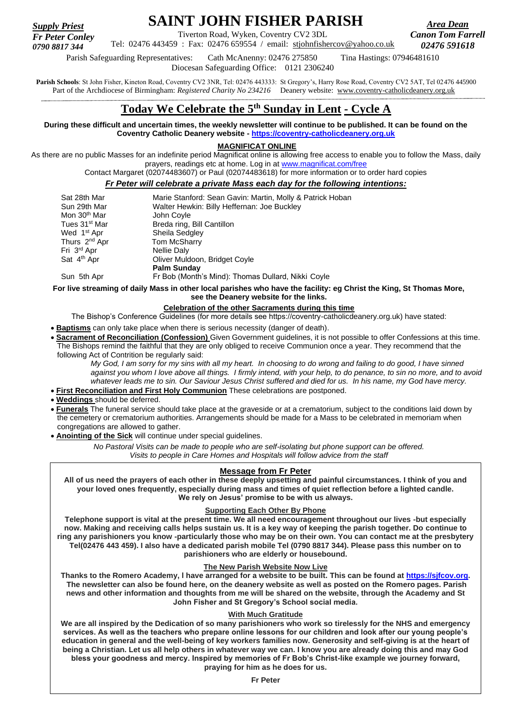*Supply Priest Fr Peter Conley*

# **SAINT JOHN FISHER PARISH**

Tiverton Road, Wyken, Coventry CV2 3DL Tel: 02476 443459 : Fax: 02476 659554 / email: [stjohnfishercov@yahoo.co.uk](mailto:stjohnfishercov@yahoo.co.uk) 

*Area Dean Canon Tom Farrell 02476 591618*

Parish Safeguarding Representatives: Cath McAnenny: 02476 275850 Tina Hastings: 07946481610 *0790 8817 344*

Diocesan Safeguarding Office: 0121 2306240

Parish Schools: St John Fisher, Kineton Road, Coventry CV2 3NR, Tel: 02476 443333: St Gregory's, Harry Rose Road, Coventry CV2 5AT, Tel 02476 445900 Part of the Archdiocese of Birmingham: *Registered Charity No 234216* Deanery website: [www.coventry-catholicdeanery.org.uk](http://www.coventry-catholicdeanery.org.uk/)

## **Today We Celebrate the 5 th Sunday in Lent - Cycle A**

**During these difficult and uncertain times, the weekly newsletter will continue to be published. It can be found on the Coventry Catholic Deanery website - [https://coventry-catholicdeanery.org.uk](https://coventry-catholicdeanery.org.uk/)**

**MAGNIFICAT ONLINE**

As there are no public Masses for an indefinite period Magnificat online is allowing free access to enable you to follow the Mass, daily prayers, readings etc at home. Log in at [www.magnificat.com/free](http://www.magnificat.com/free)

Contact Margaret (02074483607) or Paul (02074483618) for more information or to order hard copies

## *Fr Peter will celebrate a private Mass each day for the following intentions:*

| Sat 28th Mar              | Marie Stanford: Sean Gavin: Martin, Molly & Patrick Hoban |
|---------------------------|-----------------------------------------------------------|
| Sun 29th Mar              | Walter Hewkin: Billy Heffernan: Joe Buckley               |
| Mon 30 <sup>th</sup> Mar  | John Coyle                                                |
| Tues 31 <sup>st</sup> Mar | Breda ring, Bill Cantillon                                |
| Wed 1 <sup>st</sup> Apr   | Sheila Sedgley                                            |
| Thurs 2 <sup>nd</sup> Apr | <b>Tom McSharry</b>                                       |
| Fri 3 <sup>rd</sup> Apr   | Nellie Daly                                               |
| Sat 4 <sup>th</sup> Apr   | Oliver Muldoon, Bridget Coyle                             |
|                           | <b>Palm Sunday</b>                                        |
| Sun 5th Apr               | Fr Bob (Month's Mind): Thomas Dullard, Nikki Coyle        |

**For live streaming of daily Mass in other local parishes who have the facility: eg Christ the King, St Thomas More, see the Deanery website for the links.**

## **Celebration of the other Sacraments during this time**

The Bishop's Conference Guidelines (for more details see https://coventry-catholicdeanery.org.uk) have stated:

- **Baptisms** can only take place when there is serious necessity (danger of death).
- **Sacrament of Reconciliation (Confession)** Given Government guidelines, it is not possible to offer Confessions at this time. The Bishops remind the faithful that they are only obliged to receive Communion once a year. They recommend that the following Act of Contrition be regularly said:

*My God, I am sorry for my sins with all my heart. In choosing to do wrong and failing to do good, I have sinned against you whom I love above all things. I firmly intend, with your help, to do penance, to sin no more, and to avoid whatever leads me to sin. Our Saviour Jesus Christ suffered and died for us. In his name, my God have mercy.*

- **First Reconciliation and First Holy Communion** These celebrations are postponed.
- **Weddings** should be deferred.
- **Funerals** The funeral service should take place at the graveside or at a crematorium, subject to the conditions laid down by the cemetery or crematorium authorities. Arrangements should be made for a Mass to be celebrated in memoriam when congregations are allowed to gather.

• **Anointing of the Sick** will continue under special guidelines.

*No Pastoral Visits can be made to people who are self-isolating but phone support can be offered. Visits to people in Care Homes and Hospitals will follow advice from the staff*

## **Message from Fr Peter**

**All of us need the prayers of each other in these deeply upsetting and painful circumstances. I think of you and your loved ones frequently, especially during mass and times of quiet reflection before a lighted candle. We rely on Jesus' promise to be with us always.**

## **Supporting Each Other By Phone**

**Telephone support is vital at the present time. We all need encouragement throughout our lives -but especially now. Making and receiving calls helps sustain us. It is a key way of keeping the parish together. Do continue to ring any parishioners you know -particularly those who may be on their own. You can contact me at the presbytery Tel(02476 443 459). I also have a dedicated parish mobile Tel (0790 8817 344). Please pass this number on to parishioners who are elderly or housebound.**

## **The New Parish Website Now Live**

**Thanks to the Romero Academy, l have arranged for a website to be built. This can be found at [https://sjfcov.org.](https://sjfcov.org/) The newsletter can also be found here, on the deanery website as well as posted on the Romero pages. Parish news and other information and thoughts from me will be shared on the website, through the Academy and St John Fisher and St Gregory's School social media.**

## **With Much Gratitude**

**We are all inspired by the Dedication of so many parishioners who work so tirelessly for the NHS and emergency services. As well as the teachers who prepare online lessons for our children and look after our young people's education in general and the well-being of key workers families now. Generosity and self-giving is at the heart of being a Christian. Let us all help others in whatever way we can. I know you are already doing this and may God bless your goodness and mercy. Inspired by memories of Fr Bob's Christ-like example we journey forward, praying for him as he does for us.**

**Fr Peter**